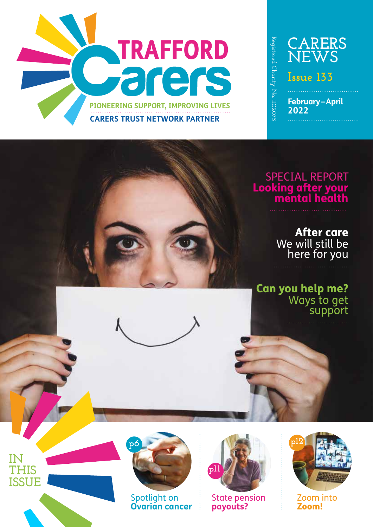

## **CARERS NEWS**

**Issue 133**

**Registered Charity No. 1102075**

Registered Charity No. 110207!

**February–April 2022**

## Looking after your mental health SPECIAL REPORT

After care We will still be here for you

Can you help me? Ways to get<br>support



**IN** 

**THIS** 

**ISSUE**

Spotlight on **Ovarian cancer**



State pension **payouts?**



**www.traffordcarerscentre.org.uk** Zoom into Zoom!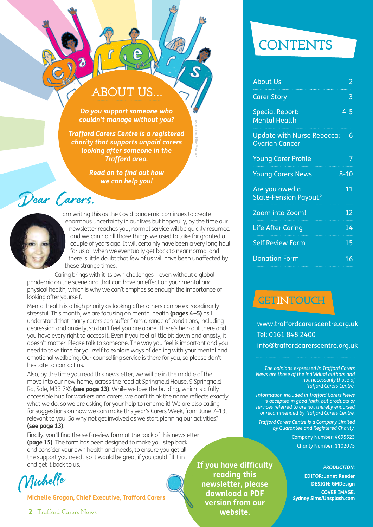## **TJS...**

*Do you support someone who couldn't manage without you?*

*Trafford Carers Centre is a registered charity that supports unpaid carers looking after someone in the Trafford area.* 

> *Read on to find out how we can help you!*

## Dear Carers,



I am writing this as the Covid pandemic continues to create enormous uncertainty in our lives but hopefully, by the time our newsletter reaches you, normal service will be quickly resumed and we can do all those things we used to take for granted a couple of years ago. It will certainly have been a very long haul for us all when we eventually get back to near normal and there is little doubt that few of us will have been unaffected by these strange times.

Illustration: Ellie Awcock

Caring brings with it its own challenges – even without a global pandemic on the scene and that can have an effect on your mental and physical health, which is why we can't emphasise enough the importance of looking after yourself.

Mental health is a high priority as looking after others can be extraordinarily stressful. This month, we are focusing on mental health **(pages 4–5)** as I understand that many carers can suffer from a range of conditions, including depression and anxiety, so don't feel you are alone. There's help out there and you have every right to access it. Even if you feel a little bit down and angsty, it doesn't matter. Please talk to someone. The way you feel is important and you need to take time for yourself to explore ways of dealing with your mental and emotional wellbeing. Our counselling service is there for you, so please don't hesitate to contact us.

Also, by the time you read this newsletter, we will be in the middle of the move into our new home, across the road at Springfield House, 9 Springfield Rd, Sale, M33 7XS **(see page 13)**. While we love the building, which is a fully accessible hub for workers and carers, we don't think the name reflects exactly what we do, so we are asking for your help to rename it! We are also calling for suggestions on how we can make this year's Carers Week, from June 7–13, relevant to you. So why not get involved as we start planning our activities? **(see page 13)**.

Finally, you'll find the self-review form at the back of this newsletter **(page 15)**. The form has been designed to make you step back and consider your own health and needs, to ensure you get all the support you need , so it would be great if you could fill it in and get it back to us.

Michelle

**Michelle Grogan, Chief Executive, Trafford Carers** 

2 **Trafford Carers News**

**If you have difficulty reading this newsletter, please download a PDF version from our website.** 

## **CONTENTS**

| <b>About Us</b>                                            | 2        |
|------------------------------------------------------------|----------|
| <b>Carer Story</b>                                         | 3        |
| <b>Special Report:</b><br><b>Mental Health</b>             | $4 - 5$  |
| <b>Update with Nurse Rebecca:</b><br><b>Ovarian Cancer</b> | 6        |
| <b>Young Carer Profile</b>                                 | 7        |
| <b>Young Carers News</b>                                   | $8 - 10$ |
| Are you owed a<br><b>State-Pension Payout?</b>             | 11       |
| Zoom into Zoom!                                            | 12       |
| <b>Life After Caring</b>                                   | 14       |
| <b>Self Review Form</b>                                    | 15       |
| <b>Donation Form</b>                                       | 16       |

## **GETINTOUCH**

www.traffordcarerscentre.org.uk Tel: 0161 848 2400 info@traffordcarerscentre.org.uk

*The opinions expressed in Trafford Carers News are those of the individual authors and not necessarily those of Trafford Carers Centre.* 

*Information included in Trafford Carers News is accepted in good faith, but products or services referred to are not thereby endorsed or recommended by Trafford Carers Centre.* 

*Trafford Carers Centre is a Company Limited by Guarantee and Registered Charity.* 

> Company Number: 4695523 Charity Number: 1102075

> > *PRODUCTION:*

**EDITOR: Janet Reeder DESIGN: GMDesign COVER IMAGE: Sydney Sims/Unsplash.com**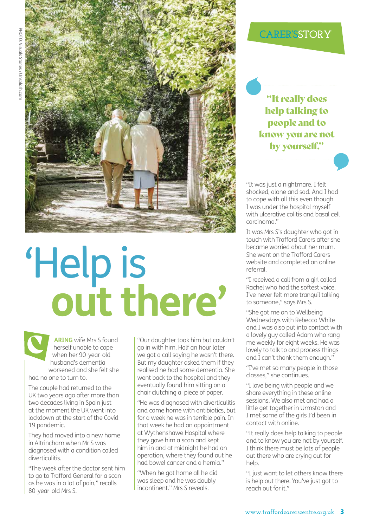

## 'Help is **out there'**

**ARING** wife Mrs S found herself unable to cope when her 90-year-old husband's dementia worsened and she felt she had no one to turn to. C

The couple had returned to the UK two years ago after more than two decades living in Spain just at the moment the UK went into lockdown at the start of the Covid 19 pandemic.

They had moved into a new home in Altrincham when Mr S was diagnosed with a condition called diverticulitis.

"The week after the doctor sent him to go to Trafford General for a scan as he was in a lot of pain," recalls 80-year-old Mrs S.

"Our daughter took him but couldn't go in with him. Half an hour later we got a call saying he wasn't there. But my daughter asked them if they realised he had some dementia. She went back to the hospital and they eventually found him sitting on a chair clutching a piece of paper.

"He was diagnosed with diverticulitis and came home with antibiotics, but for a week he was in terrible pain. In that week he had an appointment at Wythenshawe Hospital where they gave him a scan and kept him in and at midnight he had an operation, where they found out he had bowel cancer and a hernia."

"When he got home all he did was sleep and he was doubly incontinent." Mrs S reveals.

### **CARER'SSTORY**

"It really does help talking to people and to know you are not by yourself."

"It was just a nightmare. I felt shocked, alone and sad. And I had to cope with all this even though I was under the hospital myself with ulcerative colitis and basal cell carcinoma."

It was Mrs S's daughter who got in touch with Trafford Carers after she became worried about her mum. She went on the Trafford Carers website and completed an online referral.

"I received a call from a girl called Rachel who had the softest voice. I've never felt more tranquil talking to someone," says Mrs S.

"She got me on to Wellbeing Wednesdays with Rebecca White and I was also put into contact with a lovely guy called Adam who rang me weekly for eight weeks. He was lovely to talk to and process things and I can't thank them enough."

"I've met so many people in those classes," she continues.

"I love being with people and we share everything in these online sessions. We also met and had a little get together in Urmston and I met some of the girls I'd been in contact with online.

"It really does help talking to people and to know you are not by yourself. I think there must be lots of people out there who are crying out for help.

"I just want to let others know there is help out there. You've just got to reach out for it."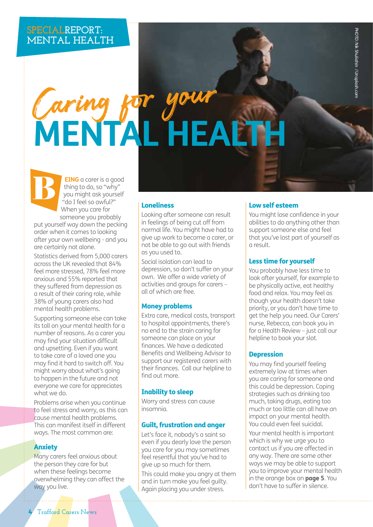#### **SPECIALREPORT: MENTAL HEALTH**

## **MENTAL HEALTH** Caring for your

**EING** a carer is a good thing to do, so "why" you might ask yourself "do I feel so awful?" When you care for someone you probably B

put yourself way down the pecking order when it comes to looking after your own wellbeing - and you are certainly not alone.

Statistics derived from 5,000 carers across the UK revealed that 84% feel more stressed, 78% feel more anxious and 55% reported that they suffered from depression as a result of their caring role, while 38% of young carers also had mental health problems.

Supporting someone else can take its toll on your mental health for a number of reasons. As a carer you may find your situation difficult and upsetting. Even if you want to take care of a loved one you may find it hard to switch off. You might worry about what's going to happen in the future and not everyone we care for appreciates what we do.

Problems arise when you continue to feel stress and worry, as this can cause mental health problems. This can manifest itself in different ways. The most common are:

#### Anxiety

Many carers feel anxious about the person they care for but when these feelings become overwhelming they can affect the way you live.

#### Loneliness

Looking after someone can result in feelings of being cut off from normal life. You might have had to give up work to become a carer, or not be able to go out with friends as you used to.

Social isolation can lead to depression, so don't suffer on your own. We offer a wide variety of activities and groups for carers – all of which are free.

#### Money problems

Extra care, medical costs, transport to hospital appointments, there's no end to the strain caring for someone can place on your finances. We have a dedicated Benefits and Wellbeing Advisor to support our registered carers with their finances. Call our helpline to find out more.

#### Inability to sleep

Worry and stress can cause insomnia.

#### Guilt, frustration and anger

Let's face it, nobody's a saint so even if you dearly love the person you care for you may sometimes feel resentful that you've had to give up so much for them.

This could make you angry at them and in turn make you feel guilty. Again placing you under stress.

#### Low self esteem

You might lose confidence in your abilities to do anything other than support someone else and feel that you've lost part of yourself as a result.

#### Less time for yourself

You probably have less time to look after yourself, for example to be physically active, eat healthy food and relax. You may feel as though your health doesn't take priority, or you don't have time to get the help you need. Our Carers' nurse, Rebecca, can book you in for a Health Review – just call our helpline to book your slot.

#### **Depression**

You may find yourself feeling extremely low at times when you are caring for someone and this could be depression. Coping strategies such as drinking too much, taking drugs, eating too much or too little can all have an impact on your mental health. You could even feel suicidal.

Your mental health is important which is why we urge you to contact us if you are affected in any way. There are some other ways we may be able to support you to improve your mental health in the orange box on **page 5**. You don't have to suffer in silence.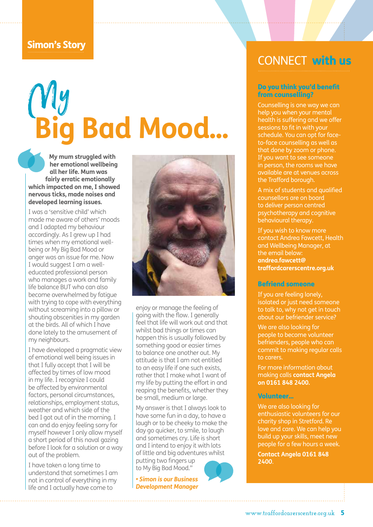### Simon's Story

## Big Bad Mood... My

**My mum struggled with her emotional wellbeing all her life. Mum was fairly erratic emotionally which impacted on me, I showed nervous ticks, made noises and developed learning issues.** 

I was a 'sensitive child' which made me aware of others' moods and I adapted my behaviour accordingly. As I grew up I had times when my emotional wellbeing or My Big Bad Mood or anger was an issue for me. Now I would suggest I am a welleducated professional person who manages a work and family life balance BUT who can also become overwhelmed by fatigue with trying to cope with everything without screaming into a pillow or shouting obscenities in my garden at the birds. All of which I have done lately to the amusement of my neighbours.

I have developed a pragmatic view of emotional well being issues in that I fully accept that I will be affected by times of low mood in my life. I recognize I could be affected by environmental factors, personal circumstances, relationships, employment status, weather and which side of the bed I got out of in the morning. I can and do enjoy feeling sorry for myself however I only allow myself a short period of this naval gazing before I look for a solution or a way out of the problem.

I have taken a long time to understand that sometimes I am not in control of everything in my life and I actually have come to



enjoy or manage the feeling of going with the flow. I generally feel that life will work out and that whilst bad things or times can happen this is usually followed by something good or easier times to balance one another out. My attitude is that I am not entitled to an easy life if one such exists, rather that I make what I want of my life by putting the effort in and reaping the benefits, whether they be small, medium or large.

My answer is that I always look to have some fun in a day, to have a laugh or to be cheeky to make the day go quicker, to smile, to laugh and sometimes cry. Life is short and I intend to enjoy it with lots of little and big adventures whilst putting two fingers up to My Big Bad Mood."

*• Simon is our Business Development Manager*

## CONNECT with us

#### Do you think you'd benefit from counselling?

Counselling is one way we can help you when your mental health is suffering and we offer sessions to fit in with your schedule. You can opt for faceto-face counselling as well as that done by zoom or phone. If you want to see someone in person, the rooms we have available are at venues across the Trafford borough.

A mix of students and qualified counsellors are on board to deliver person centred psychotherapy and cognitive behavioural therapy.

If you wish to know more contact Andrea Fawcett, Health and Wellbeing Manager, at the email below: **andrea.fawcett@ traffordcarerscentre.org.uk**

#### Befriend someone

If you are feeling lonely, isolated or just need someone to talk to, why not get in touch about our befriender service?

We are also looking for people to become volunteer befrienders, people who can commit to making regular calls to carers.

For more information about making calls **contact Angela on 0161 848 2400.**

#### Volunteer…

We are also looking for enthusiastic volunteers for our charity shop in Stretford. Re love and care. We can help you build up your skills, meet new people for a few hours a week.

**Contact Angela 0161 848 2400**.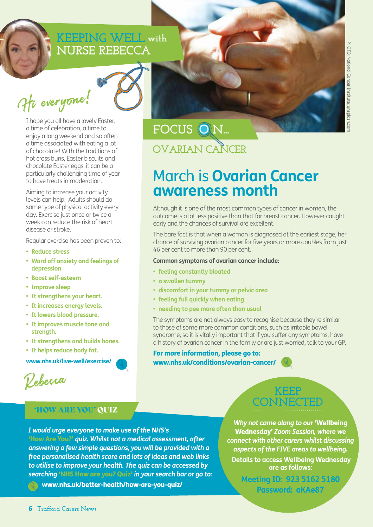#### **KEEPING WELL NURSE REBECCA with**

Hi everyone!

I hope you all have a lovely Easter, a time of celebration, a time to enjoy a long weekend and so often a time associated with eating a lot of chocolate! With the traditions of hot cross buns, Easter biscuits and chocolate Easter eggs, it can be a particularly challenging time of year to have treats in moderation.

Aiming to increase your activity levels can help. Adults should do some type of physical activity every day. Exercise just once or twice a week can reduce the risk of heart disease or stroke.

Regular exercise has been proven to:

- **• Reduce stress**
- **• Ward off anxiety and feelings of depression**
- **• Boost self-esteem**
- **• Improve sleep**
- **• It strengthens your heart.**
- **• It increases energy levels.**
- **• It lowers blood pressure.**
- **• It improves muscle tone and strength.**
- **• It strengthens and builds bones.**
- **• It helps reduce body fat.**

**www.nhs.uk/live-well/exercise/**

Rebecca

### 'HOW ARE YOU' QUIZ

*I would urge everyone to make use of the NHS's*  'How Are You?' *quiz. Whilst not a medical assessment, after answering a few simple questions, you will be provided with a free personalised health score and lots of ideas and web links to utilise to improve your health. The quiz can be accessed by searching* 'NHS How are you? Quiz' *in your search bar or go to:* 

www.nhs.uk/better-health/how-are-you-quiz/

## FOCUS ON... **OVARIAN CANCER**

## March is **Ovarian Cancer awareness month**

Although it is one of the most common types of cancer in women, the outcome is a lot less positive than that for breast cancer. However caught early and the chances of survival are excellent.

The bare fact is that when a woman is diagnosed at the earliest stage, her chance of surviving ovarian cancer for five years or more doubles from just 46 per cent to more than 90 per cent.

#### **Common symptoms of ovarian cancer include:**

- **• feeling constantly bloated**
- **• a swollen tummy**
- **• discomfort in your tummy or pelvic area**
- **• feeling full quickly when eating**
- **• needing to pee more often than usual**

The symptoms are not always easy to recognise because they're similar to those of some more common conditions, such as irritable bowel syndrome, so it is vitally important that if you suffer any symptoms, have a history of ovarian cancer in the family or are just worried, talk to your GP.

For more information, please go to: www.nhs.uk/conditions/ovarian-cancer/



**KEEP CONNECTED** 

*Why not come along to our* 'Wellbeing Wednesday' *Zoom Session, where we connect with other carers whilst discussing aspects of the FIVE areas to wellbeing.* **Details to access Wellbeing Wednesday are as follows:** 

**Meeting ID: 923 5162 5180 Password: aKAe87**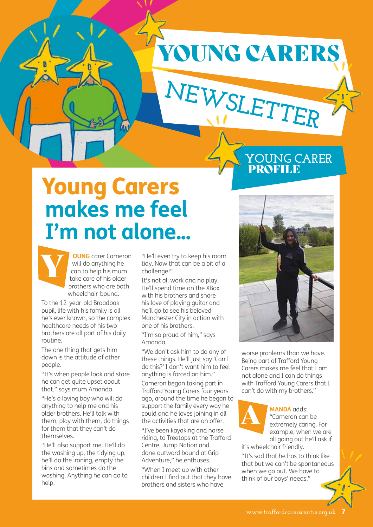

**NEWSLETTER**

## Young Carers **makes me feel I'm not alone...**



PROFILE

**YOUNG CARER**

worse problems than we have. Being part of Trafford Young Carers makes me feel that I am not alone and I can do things with Trafford Young Carers that I can't do with my brothers."



**MANDA** adds: "Cameron can be extremely caring. For example, when we are all going out he'll ask if

it's wheelchair friendly.

"It's sad that he has to think like that but we can't be spontaneous when we go out. We have to think of our boys' needs."

**OUNG** carer Cameron will do anything he can to help his mum take care of his older brothers who are both wheelchair-bound. Y

To the 12-year-old Broadoak pupil, life with his family is all he's ever known, so the complex healthcare needs of his two brothers are all part of his daily routine.

The one thing that gets him down is the attitude of other people.

"It's when people look and stare he can get quite upset about that." says mum Amanda.

"He's a loving boy who will do anything to help me and his older brothers. He'll talk with them, play with them, do things for them that they can't do themselves.

"He'll also support me. He'll do the washing up, the tidying up, he'll do the ironing, empty the bins and sometimes do the washing. Anything he can do to help.

"He'll even try to keep his room tidy. Now that can be a bit of a challenge!"

It's not all work and no play. He'll spend time on the XBox with his brothers and share his love of playing guitar and he'll go to see his beloved Manchester City in action with one of his brothers.

"I'm so proud of him," says Amanda.

"We don't ask him to do any of these things. He'll just say 'Can I do this?' I don't want him to feel anything is forced on him."

Cameron began taking part in Trafford Young Carers four years ago, around the time he began to support the family every way he could and he loves joining in all the activities that are on offer.

"I've been kayaking and horse riding, to Treetops at the Trafford Centre, Jump Nation and done outward bound at Grip Adventure," he enthuses.

"When I meet up with other children I find out that they have brothers and sisters who have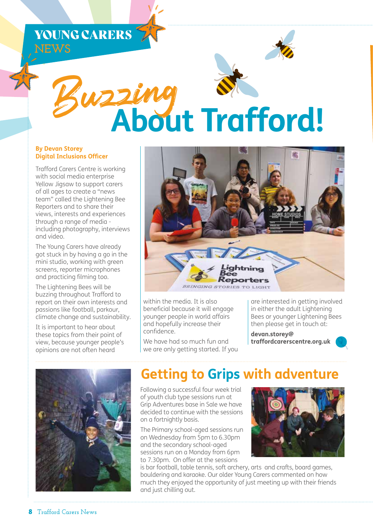### **NEWS** YOUNG CARERS



# **About Trafford!** Buzzing

#### **By Devan Storey Digital Inclusions Officer**

Trafford Carers Centre is working with social media enterprise Yellow Jigsaw to support carers of all ages to create a "news team" called the Lightening Bee Reporters and to share their views, interests and experiences through a range of media including photography, interviews and video.

The Young Carers have already got stuck in by having a go in the mini studio, working with green screens, reporter microphones and practicing filming too.

The Lightening Bees will be buzzing throughout Trafford to report on their own interests and passions like football, parkour, climate change and sustainability.

It is important to hear about these topics from their point of view, because younger people's opinions are not often heard



within the media. It is also beneficial because it will engage younger people in world affairs and hopefully increase their confidence.

We have had so much fun and we are only getting started. If you are interested in getting involved in either the adult Lightening Bees or younger Lightening Bees then please get in touch at:

**devan.storey@ traffordcarerscentre.org.uk**





## **Getting to Grips with adventure**

Following a successful four week trial of youth club type sessions run at Grip Adventures base in Sale we have decided to continue with the sessions on a fortnightly basis.

The Primary school-aged sessions run on Wednesday from 5pm to 6.30pm and the secondary school-aged sessions run on a Monday from 6pm to 7.30pm. On offer at the sessions

is bar football, table tennis, soft archery, arts and crafts, board games, bouldering and karaoke. Our older Young Carers commented on how much they enjoyed the opportunity of just meeting up with their friends and just chilling out.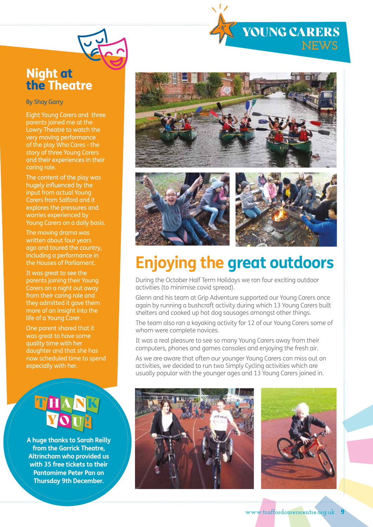## Night at the Theatre

#### By Shay Garry

Eight Young Carers and three parents joined me at the Lowry Theatre to watch the very moving performance of the play Who Cares - the story of three Young Carers and their experiences in their caring role.

The content of the play was hugely influenced by the input from actual Young Carers from Salford and it explores the pressures and worries experienced by Young Carers on a daily basis.

The moving drama was written about four years ago and toured the country, including a performance in the Houses of Parliament.

It was great to see the parents joining their Young Carers on a night out away from their caring role and they admitted it gave them more of an insight into the life of a Young Carer.

One parent shared that it was great to have some quality time with her daughter and that she has now scheduled time to spend especially with her.

#### T Y A U  ${\bf N}{\bf K}$ !  $\mathbf H$ O

**A huge thanks to Sarah Reilly from the Garrick Theatre, Altrincham who provided us with 35 free tickets to their Pantomime Peter Pan on Thursday 9th December.**

**NEWS**

YOUNG CARERS



## **Enjoying the great outdoors**

During the October Half Term Holidays we ran four exciting outdoor activities (to minimise covid spread).

Glenn and his team at Grip Adventure supported our Young Carers once again by running a bushcraft activity during which 13 Young Carers built shelters and cooked up hot dog sausages amongst other things.

The team also ran a kayaking activity for 12 of our Young Carers some of whom were complete novices.

It was a real pleasure to see so many Young Carers away from their computers, phones and games consoles and enjoying the fresh air.

As we are aware that often our younger Young Carers can miss out on activities, we decided to run two Simply Cycling activities which are usually popular with the younger ages and 13 Young Carers joined in.



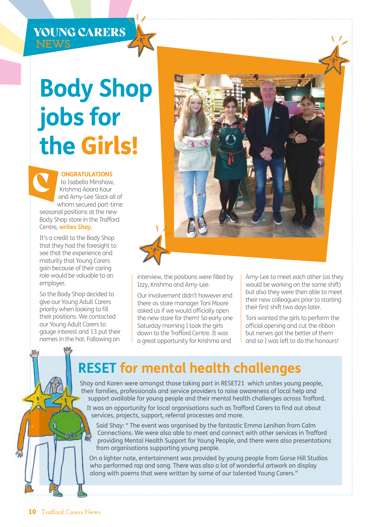## **NEWS** YOUNG CARERS

## **Body Shop jobs for the** Girls!

**ONGRATULATIONS** to Isabella Minshaw, Krishma Aoara Kaur and Amy-Lee Slack all of whom secured part-time seasonal positions at the new Body Shop store in the Trafford Centre, **writes Shay**. C

It's a credit to the Body Shop that they had the foresight to see that the experience and maturity that Young Carers gain because of their caring role would be valuable to an employer.

So the Body Shop decided to give our Young Adult Carers priority when looking to fill their positions. We contacted our Young Adult Carers to gauge interest and 13 put their names in the hat. Following an



interview, the positions were filled by Izzy, Krishma and Amy-Lee.

Our involvement didn't however end there as store manager Toni Moore asked us if we would officially open the new store for them! So early one Saturday morning I took the girls down to the Trafford Centre. It was a great opportunity for Krishma and

Amy-Lee to meet each other (as they would be working on the same shift) but also they were then able to meet their new colleagues prior to starting their first shift two days later.

Toni wanted the girls to perform the official opening and cut the ribbon but nerves got the better of them and so I was left to do the honours!

## **RESET for mental health challenges**

Shay and Karen were amongst those taking part in RESET21 which unites young people, their families, professionals and service providers to raise awareness of local help and support available for young people and their mental health challenges across Trafford.

It was an opportunity for local organisations such as Trafford Carers to find out about services, projects, support, referral processes and more.

Said Shay: " The event was organised by the fantastic Emma Lenihan from Calm Connections. We were also able to meet and connect with other services in Trafford providing Mental Health Support for Young People, and there were also presentations from organisations supporting young people.

On a lighter note, entertainment was provided by young people from Gorse Hill Studios who performed rap and sang. There was also a lot of wonderful artwork on display along with poems that were written by some of our talented Young Carers."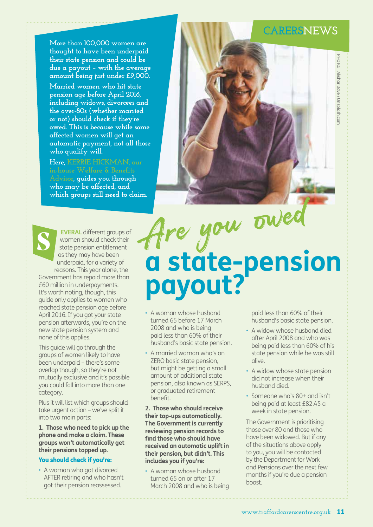## **CARERSNEWS**

**More than 100,000 women are thought to have been underpaid their state pension and could be due a payout – with the average amount being just under £9,000.**

**Married women who hit state pension age before April 2016, including widows, divorcees and the over-80s (whether married or not) should check if they're owed. This is because while some affected women will get an automatic payment, not all those who qualify will.** 

**Here, KERRIE HICKMAN, our Advisor, guides you through who may be affected, and** 





**EVERAL** different groups of women should check their state pension entitlement as they may have been underpaid, for a variety of reasons. This year alone, the Government has repaid more than £60 million in underpayments. It's worth noting, though, this guide only applies to women who reached state pension age before April 2016. If you got your state pension afterwards, you're on the new state pension system and none of this applies.

This guide will go through the groups of women likely to have been underpaid – there's some overlap though, so they're not mutually exclusive and it's possible you could fall into more than one category.

Plus it will list which groups should take urgent action – we've split it into two main parts:

**1. Those who need to pick up the phone and make a claim. These groups won't automatically get their pensions topped up.**

#### You should check if you're:

• A woman who got divorced AFTER retiring and who hasn't got their pension reassessed.

## **a state-pension payout?** which groups still need to claim.<br>
EVERAL different groups of<br>
state pension entitlement<br>
State pension entitlement

- A woman whose husband turned 65 before 17 March 2008 and who is being paid less than 60% of their husband's basic state pension.
- A married woman who's on ZERO basic state pension, but might be getting a small amount of additional state pension, also known as SERPS, or graduated retirement benefit.

**2. Those who should receive their top-ups automatically. The Government is currently reviewing pension records to find those who should have received an automatic uplift in their pension, but didn't. This includes you if you're:**

• A woman whose husband turned 65 on or after 17 March 2008 and who is being paid less than 60% of their husband's basic state pension.

- A widow whose husband died after April 2008 and who was being paid less than 60% of his state pension while he was still alive.
- A widow whose state pension did not increase when their husband died.
- Someone who's 80+ and isn't being paid at least £82.45 a week in state pension.

The Government is prioritising those over 80 and those who have been widowed. But if any of the situations above apply to you, you will be contacted by the Department for Work and Pensions over the next few months if you're due a pension boost.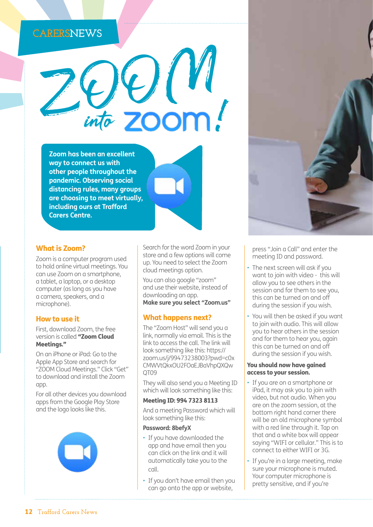#### **CARERSNEWS**

# <sup>Z</sup>OOM  $int_{0}^{1}$   $\frac{1}{200}$ m!

**Zoom has been an excellent way to connect us with other people throughout the pandemic. Observing social distancing rules, many groups are choosing to meet virtually, including ours at Trafford Carers Centre.**

#### What is Zoom?

Zoom is a computer program used to hold online virtual meetings. You can use Zoom on a smartphone, a tablet, a laptop, or a desktop computer (as long as you have a camera, speakers, and a microphone).

#### How to use it

First, download Zoom, the free version is called "Zoom Cloud Meetings."

On an iPhone or iPad: Go to the Apple App Store and search for "ZOOM Cloud Meetings." Click "Get" to download and install the Zoom app.

For all other devices you download apps from the Google Play Store and the logo looks like this.



Search for the word Zoom in your store and a few options will come up. You need to select the Zoom cloud meetings option.

You can also google "zoom" and use their website, instead of downloading an app. **Make sure you select "Zoom.us"**

#### What happens next?

The "Zoom Host" will send you a link, normally via email. This is the link to access the call. The link will look something like this: https:// zoom.us/j/99473238003?pwd=c0x CMWVtQkxOU2FOaEJBaVhpQXQw QT09

They will also send you a Meeting ID which will look something like this:

#### Meeting ID: 994 7323 8113

And a meeting Password which will look something like this:

#### **Password: 8befyX**

- If you have downloaded the app and have email then you can click on the link and it will automatically take you to the call.
- If you don't have email then you can go onto the app or website,



press "Join a Call" and enter the meeting ID and password.

- The next screen will ask if you want to join with video - this will allow you to see others in the session and for them to see you, this can be turned on and off during the session if you wish.
- You will then be asked if you want to join with audio. This will allow you to hear others in the session and for them to hear you, again this can be turned on and off during the session if you wish.

#### You should now have gained access to your session.

- If you are on a smartphone or iPad, it may ask you to join with video, but not audio. When you are on the zoom session, at the bottom right hand corner there will be an old microphone symbol with a red line through it. Tap on that and a white box will appear saying "WIFI or cellular." This is to connect to either WIFI or 3G.
- If you're in a large meeting, make sure your microphone is muted. Your computer microphone is pretty sensitive, and if you're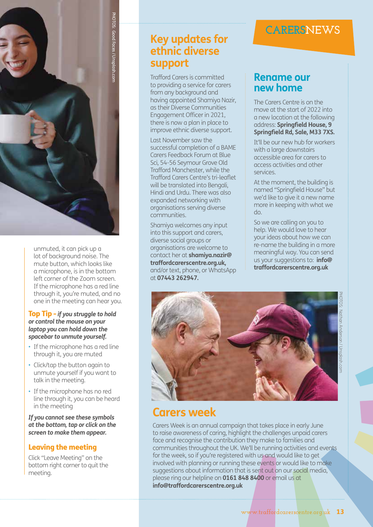

unmuted, it can pick up a lot of background noise. The mute button, which looks like a microphone, is in the bottom left corner of the Zoom screen. If the microphone has a red line through it, you're muted, and no one in the meeting can hear you.

#### Top Tip - *if you struggle to hold or control the mouse on your laptop you can hold down the spacebar to unmute yourself.*

- If the microphone has a red line through it, you are muted
- Click/tap the button again to unmute yourself if you want to talk in the meeting.
- If the microphone has no red line through it, you can be heard in the meeting

#### *If you cannot see these symbols at the bottom, tap or click on the screen to make them appear.*

#### Leaving the meeting

Click "Leave Meeting" on the bottom right corner to quit the meeting.

## **Key updates for ethnic diverse support**

Trafford Carers is committed to providing a service for carers from any background and having appointed Shamiya Nazir, as their Diverse Communities Engagement Officer in 2021, there is now a plan in place to improve ethnic diverse support.

Last November saw the successful completion of a BAME Carers Feedback Forum at Blue Sci, 54-56 Seymour Grove Old Trafford Manchester, while the Trafford Carers Centre's tri-leaflet will be translated into Bengali, Hindi and Urdu. There was also expanded networking with organisations serving diverse communities.

Shamiya welcomes any input into this support and carers, diverse social groups or organisations are welcome to contact her at **shamiya.nazir@ traffordcarerscentre.org.uk,**  and/or text, phone, or WhatsApp at **07443 262947.** 

## **CARERSNEWS**

#### **Rename our new home**

The Carers Centre is on the move at the start of 2022 into a new location at the following address: **Springfield House, 9 Springfield Rd, Sale, M33 7XS.**

It'll be our new hub for workers with a large downstairs accessible area for carers to access activities and other services.

At the moment, the building is named "Springfield House" but we'd like to give it a new name more in keeping with what we do.

So we are calling on you to help. We would love to hear your ideas about how we can re-name the building in a more meaningful way. You can send us your suggestions to: **info@ traffordcarerscentre.org.uk**



## **Carers week**

Carers Week is an annual campaign that takes place in early June to raise awareness of caring, highlight the challenges unpaid carers face and recognise the contribution they make to families and communities throughout the UK. We'll be running activities and events for the week, so if you're registered with us and would like to get involved with planning or running these events or would like to make suggestions about information that is sent out on our social media. please ring our helpline on **0161 848 8400** or email us at **info@traffordcarerscentre.org.uk**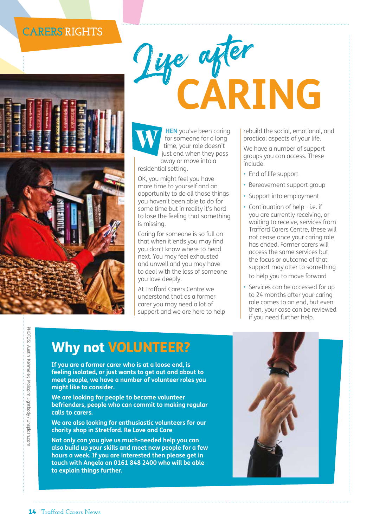### **CARERS'RIGHTS**





W **HEN** you've been caring for someone for a long time, your role doesn't just end when they pass away or move into a residential setting.

OK, you might feel you have more time to yourself and an opportunity to do all those things you haven't been able to do for some time but in reality it's hard to lose the feeling that something is missing.

Caring for someone is so full on that when it ends you may find you don't know where to head next. You may feel exhausted and unwell and you may have to deal with the loss of someone you love deeply.

At Trafford Carers Centre we understand that as a former carer you may need a lot of support and we are here to help rebuild the social, emotional, and practical aspects of your life.

We have a number of support groups you can access. These include:

- End of life support
- Bereavement support group
- Support into employment
- Continuation of help i.e. if you are currently receiving, or waiting to receive, services from Trafford Carers Centre, these will not cease once your caring role has ended. Former carers will access the same services but the focus or outcome of that support may alter to something to help you to move forward
- Services can be accessed for up to 24 months after your caring role comes to an end, but even then, your case can be reviewed if you need further help.

## Why not VOLUNTEER?

**If you are a former carer who is at a loose end, is feeling isolated, or just wants to get out and about to meet people, we have a number of volunteer roles you might like to consider.** 

**We are looking for people to become volunteer befrienders, people who can commit to making regular calls to carers.** 

**We are also looking for enthusiastic volunteers for our charity shop in Stretford. Re Love and Care** 

**Not only can you give us much-needed help you can also build up your skills and meet new people for a few hours a week. If you are interested then please get in touch with Angela on 0161 848 2400 who will be able to explain things further.**

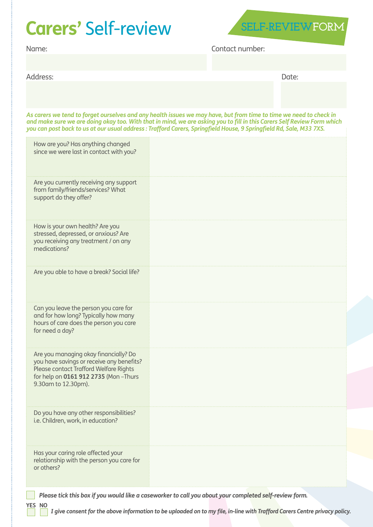## **Carers' Self-review SELF-REVIEWFORM**



Name:

Contact number:

Address: Date:

*As carers we tend to forget ourselves and any health issues we may have, but from time to time we need to check in and make sure we are doing okay too. With that in mind, we are asking you to fill in this Carers Self Review Form which you can post back to us at our usual address : Trafford Carers, Springfield House, 9 Springfield Rd, Sale, M33 7XS.*

| How are you? Has anything changed<br>since we were last in contact with you?                                                                                                                |  |
|---------------------------------------------------------------------------------------------------------------------------------------------------------------------------------------------|--|
| Are you currently receiving any support<br>from family/friends/services? What<br>support do they offer?                                                                                     |  |
| How is your own health? Are you<br>stressed, depressed, or anxious? Are<br>you receiving any treatment / on any<br>medications?                                                             |  |
| Are you able to have a break? Social life?                                                                                                                                                  |  |
| Can you leave the person you care for<br>and for how long? Typically how many<br>hours of care does the person you care<br>for need a day?                                                  |  |
| Are you managing okay financially? Do<br>you have savings or receive any benefits?<br>Please contact Trafford Welfare Rights<br>for help on 0161 912 2735 (Mon-Thurs<br>9.30am to 12.30pm). |  |
| Do you have any other responsibilities?<br>i.e. Children, work, in education?                                                                                                               |  |
| Has your caring role affected your<br>relationship with the person you care for<br>or others?                                                                                               |  |

 *Please tick this box if you would like a caseworker to call you about your completed self-review form.*

*I give consent for the above information to be uploaded on to my file, in-line with Trafford Carers Centre privacy policy.* **YES NO**